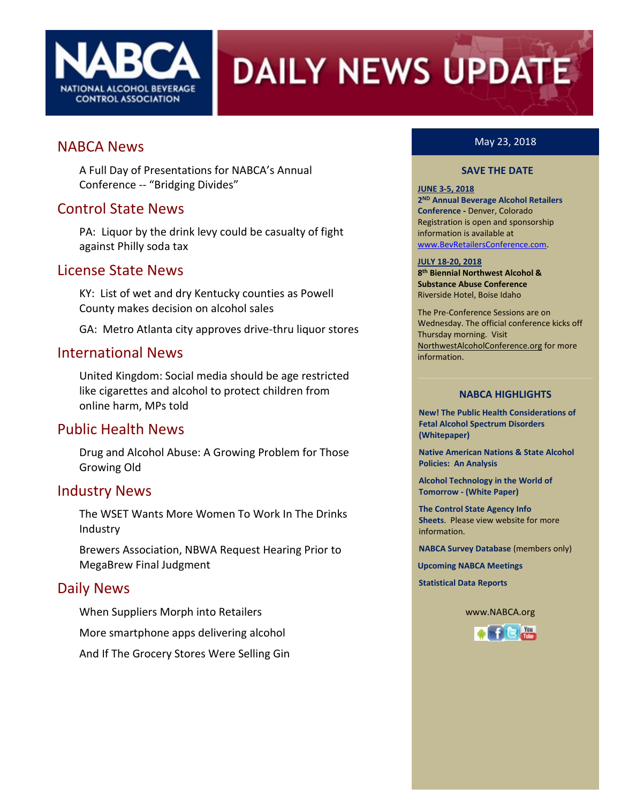

# **DAILY NEWS UPDATE**

### NABCA News

A Full Day of Presentations for NABCA's Annual Conference -- "Bridging Divides"

## Control State News

PA: Liquor by the drink levy could be casualty of fight against Philly soda tax

### License State News

KY: List of wet and dry Kentucky counties as Powell County makes decision on alcohol sales

GA: Metro Atlanta city approves drive-thru liquor stores

### International News

United Kingdom: Social media should be age restricted like cigarettes and alcohol to protect children from online harm, MPs told

### Public Health News

Drug and Alcohol Abuse: A Growing Problem for Those Growing Old

### Industry News

The WSET Wants More Women To Work In The Drinks Industry

Brewers Association, NBWA Request Hearing Prior to MegaBrew Final Judgment

### Daily News

When Suppliers Morph into Retailers

More smartphone apps delivering alcohol

And If The Grocery Stores Were Selling Gin

### May 23, 2018

#### **SAVE THE DATE**

#### **JUNE 3-5, 2018**

**2 ND Annual Beverage Alcohol Retailers Conference -** Denver, Colorado Registration is open and sponsorship information is available at [www.BevRetailersConference.com.](file://///nabca2008/communications/NABCA%20Pubs&%20Docs/DNU%20Articles/2018/January2018/www.BevRetailersConference.com)

#### **JULY 18-20, 2018**

**8 th Biennial Northwest Alcohol & Substance Abuse Conference** Riverside Hotel, Boise Idaho

The Pre-Conference Sessions are on Wednesday. The official conference kicks off Thursday morning. Visit NorthwestAlcoholConference.org for more information.

#### **NABCA HIGHLIGHTS**

**New! The Public Health Considerations of Fetal Alcohol Spectrum Disorders (Whitepaper)**

**Native American Nations & State Alcohol Policies: An Analysis**

**Alcohol Technology in the World of Tomorrow - (White Paper)**

**The Control State Agency Info Sheets**. Please view website for more information.

**NABCA Survey Database** (members only)

**Upcoming NABCA Meetings**

**Statistical Data Reports**

www.NABCA.org

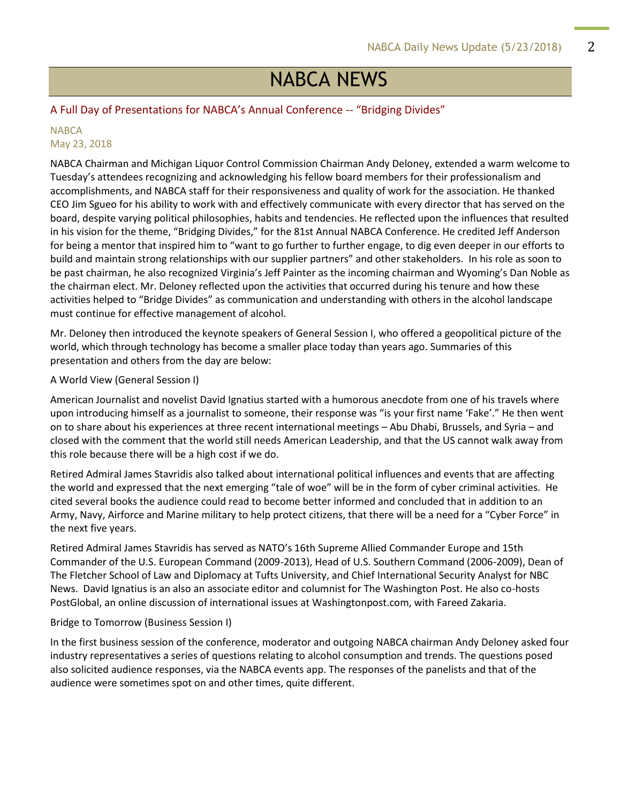# NABCA NEWS

#### A Full Day of Presentations for NABCA's Annual Conference -- "Bridging Divides"

#### **NABCA** May 23, 2018

NABCA Chairman and Michigan Liquor Control Commission Chairman Andy Deloney, extended a warm welcome to Tuesday's attendees recognizing and acknowledging his fellow board members for their professionalism and accomplishments, and NABCA staff for their responsiveness and quality of work for the association. He thanked CEO Jim Sgueo for his ability to work with and effectively communicate with every director that has served on the board, despite varying political philosophies, habits and tendencies. He reflected upon the influences that resulted in his vision for the theme, "Bridging Divides," for the 81st Annual NABCA Conference. He credited Jeff Anderson for being a mentor that inspired him to "want to go further to further engage, to dig even deeper in our efforts to build and maintain strong relationships with our supplier partners" and other stakeholders. In his role as soon to be past chairman, he also recognized Virginia's Jeff Painter as the incoming chairman and Wyoming's Dan Noble as the chairman elect. Mr. Deloney reflected upon the activities that occurred during his tenure and how these activities helped to "Bridge Divides" as communication and understanding with others in the alcohol landscape must continue for effective management of alcohol.

Mr. Deloney then introduced the keynote speakers of General Session I, who offered a geopolitical picture of the world, which through technology has become a smaller place today than years ago. Summaries of this presentation and others from the day are below:

#### A World View (General Session I)

American Journalist and novelist David Ignatius started with a humorous anecdote from one of his travels where upon introducing himself as a journalist to someone, their response was "is your first name 'Fake'." He then went on to share about his experiences at three recent international meetings – Abu Dhabi, Brussels, and Syria – and closed with the comment that the world still needs American Leadership, and that the US cannot walk away from this role because there will be a high cost if we do.

Retired Admiral James Stavridis also talked about international political influences and events that are affecting the world and expressed that the next emerging "tale of woe" will be in the form of cyber criminal activities. He cited several books the audience could read to become better informed and concluded that in addition to an Army, Navy, Airforce and Marine military to help protect citizens, that there will be a need for a "Cyber Force" in the next five years.

Retired Admiral James Stavridis has served as NATO's 16th Supreme Allied Commander Europe and 15th Commander of the U.S. European Command (2009-2013), Head of U.S. Southern Command (2006-2009), Dean of The Fletcher School of Law and Diplomacy at Tufts University, and Chief International Security Analyst for NBC News. David Ignatius is an also an associate editor and columnist for The Washington Post. He also co-hosts PostGlobal, an online discussion of international issues at Washingtonpost.com, with Fareed Zakaria.

#### Bridge to Tomorrow (Business Session I)

In the first business session of the conference, moderator and outgoing NABCA chairman Andy Deloney asked four industry representatives a series of questions relating to alcohol consumption and trends. The questions posed also solicited audience responses, via the NABCA events app. The responses of the panelists and that of the audience were sometimes spot on and other times, quite different.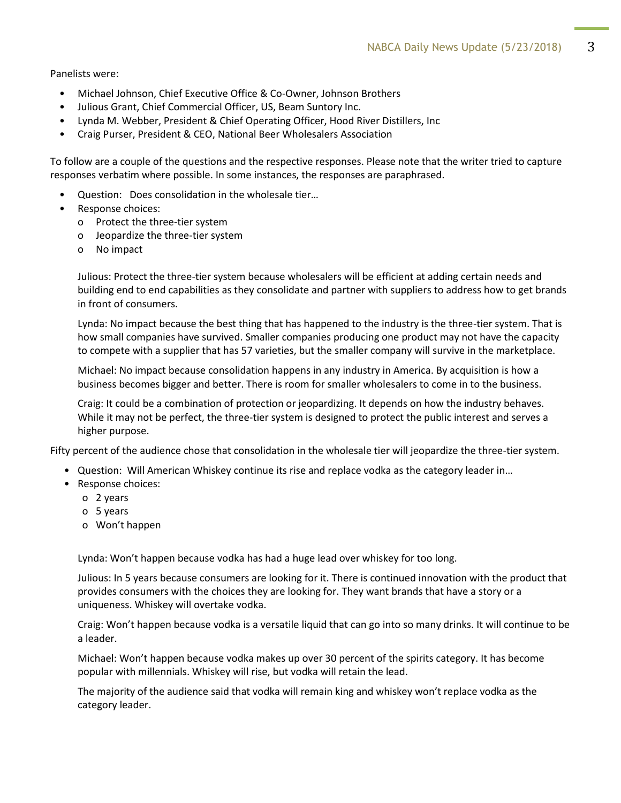Panelists were:

- Michael Johnson, Chief Executive Office & Co-Owner, Johnson Brothers
- Julious Grant, Chief Commercial Officer, US, Beam Suntory Inc.
- Lynda M. Webber, President & Chief Operating Officer, Hood River Distillers, Inc
- Craig Purser, President & CEO, National Beer Wholesalers Association

To follow are a couple of the questions and the respective responses. Please note that the writer tried to capture responses verbatim where possible. In some instances, the responses are paraphrased.

- Question: Does consolidation in the wholesale tier…
- Response choices:
	- o Protect the three-tier system
	- o Jeopardize the three-tier system
	- o No impact

Julious: Protect the three-tier system because wholesalers will be efficient at adding certain needs and building end to end capabilities as they consolidate and partner with suppliers to address how to get brands in front of consumers.

Lynda: No impact because the best thing that has happened to the industry is the three-tier system. That is how small companies have survived. Smaller companies producing one product may not have the capacity to compete with a supplier that has 57 varieties, but the smaller company will survive in the marketplace.

Michael: No impact because consolidation happens in any industry in America. By acquisition is how a business becomes bigger and better. There is room for smaller wholesalers to come in to the business.

Craig: It could be a combination of protection or jeopardizing. It depends on how the industry behaves. While it may not be perfect, the three-tier system is designed to protect the public interest and serves a higher purpose.

Fifty percent of the audience chose that consolidation in the wholesale tier will jeopardize the three-tier system.

- Question: Will American Whiskey continue its rise and replace vodka as the category leader in…
- Response choices:
	- o 2 years
	- o 5 years
	- o Won't happen

Lynda: Won't happen because vodka has had a huge lead over whiskey for too long.

Julious: In 5 years because consumers are looking for it. There is continued innovation with the product that provides consumers with the choices they are looking for. They want brands that have a story or a uniqueness. Whiskey will overtake vodka.

Craig: Won't happen because vodka is a versatile liquid that can go into so many drinks. It will continue to be a leader.

Michael: Won't happen because vodka makes up over 30 percent of the spirits category. It has become popular with millennials. Whiskey will rise, but vodka will retain the lead.

The majority of the audience said that vodka will remain king and whiskey won't replace vodka as the category leader.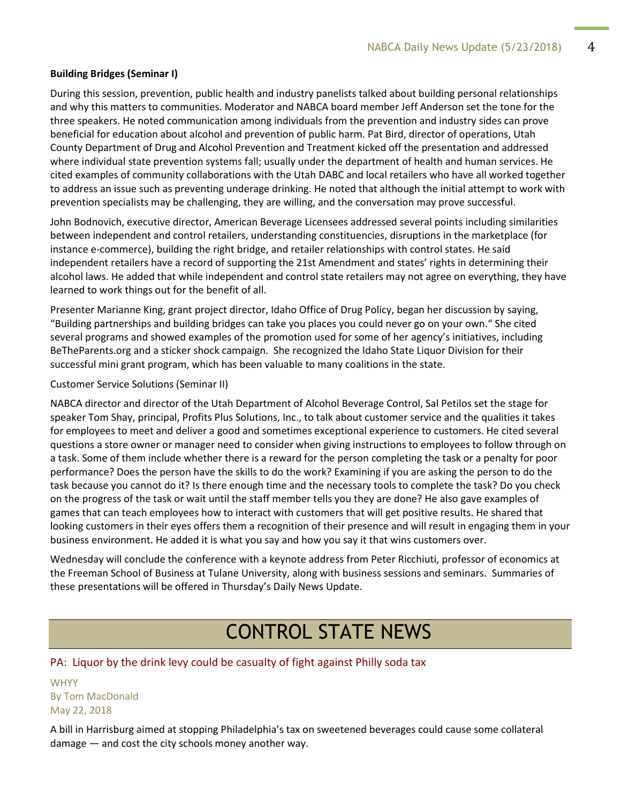#### **Building Bridges (Seminar I)**

During this session, prevention, public health and industry panelists talked about building personal relationships and why this matters to communities. Moderator and NABCA board member Jeff Anderson set the tone for the three speakers. He noted communication among individuals from the prevention and industry sides can prove beneficial for education about alcohol and prevention of public harm. Pat Bird, director of operations, Utah County Department of Drug and Alcohol Prevention and Treatment kicked off the presentation and addressed where individual state prevention systems fall; usually under the department of health and human services. He cited examples of community collaborations with the Utah DABC and local retailers who have all worked together to address an issue such as preventing underage drinking. He noted that although the initial attempt to work with prevention specialists may be challenging, they are willing, and the conversation may prove successful.

John Bodnovich, executive director, American Beverage Licensees addressed several points including similarities between independent and control retailers, understanding constituencies, disruptions in the marketplace (for instance e-commerce), building the right bridge, and retailer relationships with control states. He said independent retailers have a record of supporting the 21st Amendment and states' rights in determining their alcohol laws. He added that while independent and control state retailers may not agree on everything, they have learned to work things out for the benefit of all.

Presenter Marianne King, grant project director, Idaho Office of Drug Policy, began her discussion by saying, "Building partnerships and building bridges can take you places you could never go on your own." She cited several programs and showed examples of the promotion used for some of her agency's initiatives, including BeTheParents.org and a sticker shock campaign. She recognized the Idaho State Liquor Division for their successful mini grant program, which has been valuable to many coalitions in the state.

Customer Service Solutions (Seminar II)

NABCA director and director of the Utah Department of Alcohol Beverage Control, Sal Petilos set the stage for speaker Tom Shay, principal, Profits Plus Solutions, Inc., to talk about customer service and the qualities it takes for employees to meet and deliver a good and sometimes exceptional experience to customers. He cited several questions a store owner or manager need to consider when giving instructions to employees to follow through on a task. Some of them include whether there is a reward for the person completing the task or a penalty for poor performance? Does the person have the skills to do the work? Examining if you are asking the person to do the task because you cannot do it? Is there enough time and the necessary tools to complete the task? Do you check on the progress of the task or wait until the staff member tells you they are done? He also gave examples of games that can teach employees how to interact with customers that will get positive results. He shared that looking customers in their eyes offers them a recognition of their presence and will result in engaging them in your business environment. He added it is what you say and how you say it that wins customers over.

Wednesday will conclude the conference with a keynote address from Peter Ricchiuti, professor of economics at the Freeman School of Business at Tulane University, along with business sessions and seminars. Summaries of these presentations will be offered in Thursday's Daily News Update.

# CONTROL STATE NEWS

#### PA: Liquor by the drink levy could be casualty of fight against Philly soda tax

**WHYY** By Tom MacDonald May 22, 2018

A bill in Harrisburg aimed at stopping Philadelphia's tax on sweetened beverages could cause some collateral damage — and cost the city schools money another way.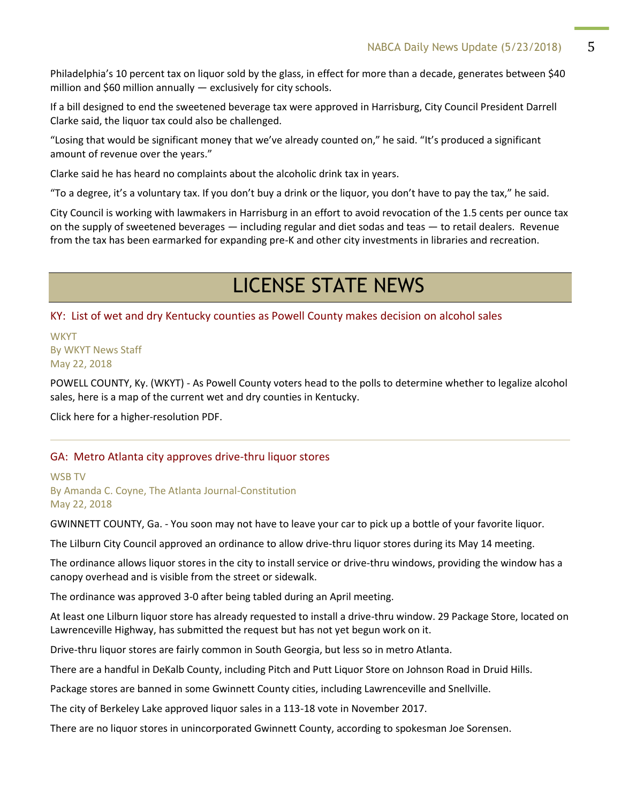Philadelphia's 10 percent tax on liquor sold by the glass, in effect for more than a decade, generates between \$40 million and \$60 million annually — exclusively for city schools.

If a bill designed to end the sweetened beverage tax were approved in Harrisburg, City Council President Darrell Clarke said, the liquor tax could also be challenged.

"Losing that would be significant money that we've already counted on," he said. "It's produced a significant amount of revenue over the years."

Clarke said he has heard no complaints about the alcoholic drink tax in years.

"To a degree, it's a voluntary tax. If you don't buy a drink or the liquor, you don't have to pay the tax," he said.

City Council is working with lawmakers in Harrisburg in an effort to avoid revocation of the 1.5 cents per ounce tax on the supply of sweetened beverages — including regular and diet sodas and teas — to retail dealers. Revenue from the tax has been earmarked for expanding pre-K and other city investments in libraries and recreation.

# LICENSE STATE NEWS

KY: List of wet and dry Kentucky counties as Powell County makes decision on alcohol sales

**WKYT** By WKYT News Staff May 22, 2018

POWELL COUNTY, Ky. (WKYT) - As Powell County voters head to the polls to determine whether to legalize alcohol sales, here is a map of the current wet and dry counties in Kentucky.

Click here for a higher-resolution PDF.

#### GA: Metro Atlanta city approves drive-thru liquor stores

#### WSB TV By Amanda C. Coyne, The Atlanta Journal-Constitution May 22, 2018

GWINNETT COUNTY, Ga. - You soon may not have to leave your car to pick up a bottle of your favorite liquor.

The Lilburn City Council approved an ordinance to allow drive-thru liquor stores during its May 14 meeting.

The ordinance allows liquor stores in the city to install service or drive-thru windows, providing the window has a canopy overhead and is visible from the street or sidewalk.

The ordinance was approved 3-0 after being tabled during an April meeting.

At least one Lilburn liquor store has already requested to install a drive-thru window. 29 Package Store, located on Lawrenceville Highway, has submitted the request but has not yet begun work on it.

Drive-thru liquor stores are fairly common in South Georgia, but less so in metro Atlanta.

There are a handful in DeKalb County, including Pitch and Putt Liquor Store on Johnson Road in Druid Hills.

Package stores are banned in some Gwinnett County cities, including Lawrenceville and Snellville.

The city of Berkeley Lake approved liquor sales in a 113-18 vote in November 2017.

There are no liquor stores in unincorporated Gwinnett County, according to spokesman Joe Sorensen.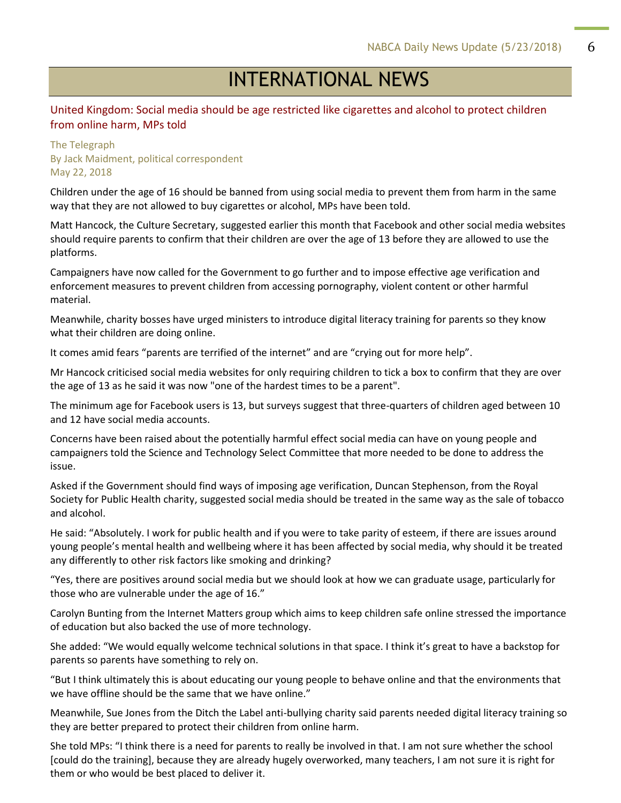# INTERNATIONAL NEWS

#### United Kingdom: Social media should be age restricted like cigarettes and alcohol to protect children from online harm, MPs told

#### The Telegraph By Jack Maidment, political correspondent May 22, 2018

Children under the age of 16 should be banned from using social media to prevent them from harm in the same way that they are not allowed to buy cigarettes or alcohol, MPs have been told.

Matt Hancock, the Culture Secretary, suggested earlier this month that Facebook and other social media websites should require parents to confirm that their children are over the age of 13 before they are allowed to use the platforms.

Campaigners have now called for the Government to go further and to impose effective age verification and enforcement measures to prevent children from accessing pornography, violent content or other harmful material.

Meanwhile, charity bosses have urged ministers to introduce digital literacy training for parents so they know what their children are doing online.

It comes amid fears "parents are terrified of the internet" and are "crying out for more help".

Mr Hancock criticised social media websites for only requiring children to tick a box to confirm that they are over the age of 13 as he said it was now "one of the hardest times to be a parent".

The minimum age for Facebook users is 13, but surveys suggest that three-quarters of children aged between 10 and 12 have social media accounts.

Concerns have been raised about the potentially harmful effect social media can have on young people and campaigners told the Science and Technology Select Committee that more needed to be done to address the issue.

Asked if the Government should find ways of imposing age verification, Duncan Stephenson, from the Royal Society for Public Health charity, suggested social media should be treated in the same way as the sale of tobacco and alcohol.

He said: "Absolutely. I work for public health and if you were to take parity of esteem, if there are issues around young people's mental health and wellbeing where it has been affected by social media, why should it be treated any differently to other risk factors like smoking and drinking?

"Yes, there are positives around social media but we should look at how we can graduate usage, particularly for those who are vulnerable under the age of 16."

Carolyn Bunting from the Internet Matters group which aims to keep children safe online stressed the importance of education but also backed the use of more technology.

She added: "We would equally welcome technical solutions in that space. I think it's great to have a backstop for parents so parents have something to rely on.

"But I think ultimately this is about educating our young people to behave online and that the environments that we have offline should be the same that we have online."

Meanwhile, Sue Jones from the Ditch the Label anti-bullying charity said parents needed digital literacy training so they are better prepared to protect their children from online harm.

She told MPs: "I think there is a need for parents to really be involved in that. I am not sure whether the school [could do the training], because they are already hugely overworked, many teachers, I am not sure it is right for them or who would be best placed to deliver it.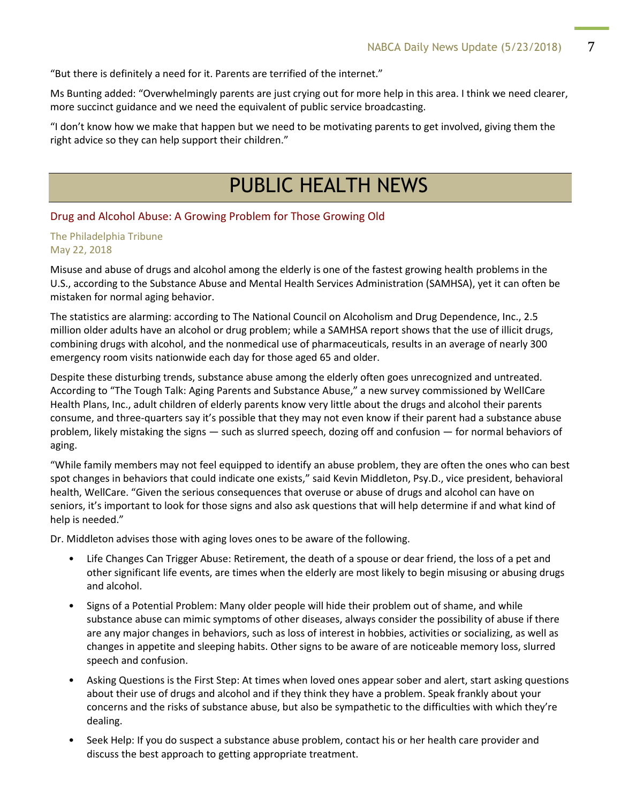"But there is definitely a need for it. Parents are terrified of the internet."

Ms Bunting added: "Overwhelmingly parents are just crying out for more help in this area. I think we need clearer, more succinct guidance and we need the equivalent of public service broadcasting.

"I don't know how we make that happen but we need to be motivating parents to get involved, giving them the right advice so they can help support their children."

# PUBLIC HEALTH NEWS

#### Drug and Alcohol Abuse: A Growing Problem for Those Growing Old

The Philadelphia Tribune May 22, 2018

Misuse and abuse of drugs and alcohol among the elderly is one of the fastest growing health problems in the U.S., according to the Substance Abuse and Mental Health Services Administration (SAMHSA), yet it can often be mistaken for normal aging behavior.

The statistics are alarming: according to The National Council on Alcoholism and Drug Dependence, Inc., 2.5 million older adults have an alcohol or drug problem; while a SAMHSA report shows that the use of illicit drugs, combining drugs with alcohol, and the nonmedical use of pharmaceuticals, results in an average of nearly 300 emergency room visits nationwide each day for those aged 65 and older.

Despite these disturbing trends, substance abuse among the elderly often goes unrecognized and untreated. According to "The Tough Talk: Aging Parents and Substance Abuse," a new survey commissioned by WellCare Health Plans, Inc., adult children of elderly parents know very little about the drugs and alcohol their parents consume, and three-quarters say it's possible that they may not even know if their parent had a substance abuse problem, likely mistaking the signs — such as slurred speech, dozing off and confusion — for normal behaviors of aging.

"While family members may not feel equipped to identify an abuse problem, they are often the ones who can best spot changes in behaviors that could indicate one exists," said Kevin Middleton, Psy.D., vice president, behavioral health, WellCare. "Given the serious consequences that overuse or abuse of drugs and alcohol can have on seniors, it's important to look for those signs and also ask questions that will help determine if and what kind of help is needed."

Dr. Middleton advises those with aging loves ones to be aware of the following.

- Life Changes Can Trigger Abuse: Retirement, the death of a spouse or dear friend, the loss of a pet and other significant life events, are times when the elderly are most likely to begin misusing or abusing drugs and alcohol.
- Signs of a Potential Problem: Many older people will hide their problem out of shame, and while substance abuse can mimic symptoms of other diseases, always consider the possibility of abuse if there are any major changes in behaviors, such as loss of interest in hobbies, activities or socializing, as well as changes in appetite and sleeping habits. Other signs to be aware of are noticeable memory loss, slurred speech and confusion.
- Asking Questions is the First Step: At times when loved ones appear sober and alert, start asking questions about their use of drugs and alcohol and if they think they have a problem. Speak frankly about your concerns and the risks of substance abuse, but also be sympathetic to the difficulties with which they're dealing.
- Seek Help: If you do suspect a substance abuse problem, contact his or her health care provider and discuss the best approach to getting appropriate treatment.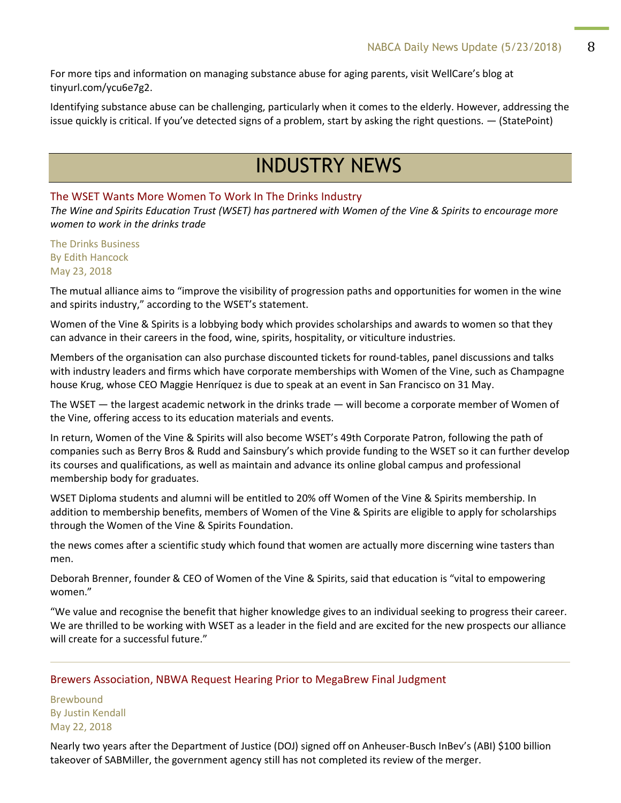For more tips and information on managing substance abuse for aging parents, visit WellCare's blog at tinyurl.com/ycu6e7g2.

Identifying substance abuse can be challenging, particularly when it comes to the elderly. However, addressing the issue quickly is critical. If you've detected signs of a problem, start by asking the right questions. — (StatePoint)

# INDUSTRY NEWS

#### The WSET Wants More Women To Work In The Drinks Industry

*The Wine and Spirits Education Trust (WSET) has partnered with Women of the Vine & Spirits to encourage more women to work in the drinks trade*

The Drinks Business By Edith Hancock May 23, 2018

The mutual alliance aims to "improve the visibility of progression paths and opportunities for women in the wine and spirits industry," according to the WSET's statement.

Women of the Vine & Spirits is a lobbying body which provides scholarships and awards to women so that they can advance in their careers in the food, wine, spirits, hospitality, or viticulture industries.

Members of the organisation can also purchase discounted tickets for round-tables, panel discussions and talks with industry leaders and firms which have corporate memberships with Women of the Vine, such as Champagne house Krug, whose CEO Maggie Henríquez is due to speak at an event in San Francisco on 31 May.

The WSET — the largest academic network in the drinks trade — will become a corporate member of Women of the Vine, offering access to its education materials and events.

In return, Women of the Vine & Spirits will also become WSET's 49th Corporate Patron, following the path of companies such as Berry Bros & Rudd and Sainsbury's which provide funding to the WSET so it can further develop its courses and qualifications, as well as maintain and advance its online global campus and professional membership body for graduates.

WSET Diploma students and alumni will be entitled to 20% off Women of the Vine & Spirits membership. In addition to membership benefits, members of Women of the Vine & Spirits are eligible to apply for scholarships through the Women of the Vine & Spirits Foundation.

the news comes after a scientific study which found that women are actually more discerning wine tasters than men.

Deborah Brenner, founder & CEO of Women of the Vine & Spirits, said that education is "vital to empowering women."

"We value and recognise the benefit that higher knowledge gives to an individual seeking to progress their career. We are thrilled to be working with WSET as a leader in the field and are excited for the new prospects our alliance will create for a successful future."

#### Brewers Association, NBWA Request Hearing Prior to MegaBrew Final Judgment

Brewbound By Justin Kendall May 22, 2018

Nearly two years after the Department of Justice (DOJ) signed off on Anheuser-Busch InBev's (ABI) \$100 billion takeover of SABMiller, the government agency still has not completed its review of the merger.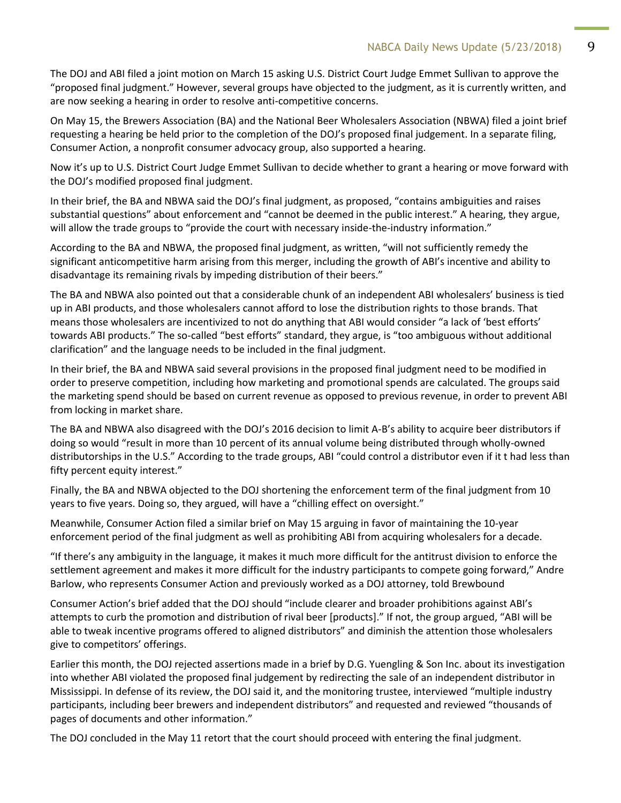The DOJ and ABI filed a joint motion on March 15 asking U.S. District Court Judge Emmet Sullivan to approve the "proposed final judgment." However, several groups have objected to the judgment, as it is currently written, and are now seeking a hearing in order to resolve anti-competitive concerns.

On May 15, the Brewers Association (BA) and the National Beer Wholesalers Association (NBWA) filed a joint brief requesting a hearing be held prior to the completion of the DOJ's proposed final judgement. In a separate filing, Consumer Action, a nonprofit consumer advocacy group, also supported a hearing.

Now it's up to U.S. District Court Judge Emmet Sullivan to decide whether to grant a hearing or move forward with the DOJ's modified proposed final judgment.

In their brief, the BA and NBWA said the DOJ's final judgment, as proposed, "contains ambiguities and raises substantial questions" about enforcement and "cannot be deemed in the public interest." A hearing, they argue, will allow the trade groups to "provide the court with necessary inside-the-industry information."

According to the BA and NBWA, the proposed final judgment, as written, "will not sufficiently remedy the significant anticompetitive harm arising from this merger, including the growth of ABI's incentive and ability to disadvantage its remaining rivals by impeding distribution of their beers."

The BA and NBWA also pointed out that a considerable chunk of an independent ABI wholesalers' business is tied up in ABI products, and those wholesalers cannot afford to lose the distribution rights to those brands. That means those wholesalers are incentivized to not do anything that ABI would consider "a lack of 'best efforts' towards ABI products." The so-called "best efforts" standard, they argue, is "too ambiguous without additional clarification" and the language needs to be included in the final judgment.

In their brief, the BA and NBWA said several provisions in the proposed final judgment need to be modified in order to preserve competition, including how marketing and promotional spends are calculated. The groups said the marketing spend should be based on current revenue as opposed to previous revenue, in order to prevent ABI from locking in market share.

The BA and NBWA also disagreed with the DOJ's 2016 decision to limit A-B's ability to acquire beer distributors if doing so would "result in more than 10 percent of its annual volume being distributed through wholly-owned distributorships in the U.S." According to the trade groups, ABI "could control a distributor even if it t had less than fifty percent equity interest."

Finally, the BA and NBWA objected to the DOJ shortening the enforcement term of the final judgment from 10 years to five years. Doing so, they argued, will have a "chilling effect on oversight."

Meanwhile, Consumer Action filed a similar brief on May 15 arguing in favor of maintaining the 10-year enforcement period of the final judgment as well as prohibiting ABI from acquiring wholesalers for a decade.

"If there's any ambiguity in the language, it makes it much more difficult for the antitrust division to enforce the settlement agreement and makes it more difficult for the industry participants to compete going forward," Andre Barlow, who represents Consumer Action and previously worked as a DOJ attorney, told Brewbound

Consumer Action's brief added that the DOJ should "include clearer and broader prohibitions against ABI's attempts to curb the promotion and distribution of rival beer [products]." If not, the group argued, "ABI will be able to tweak incentive programs offered to aligned distributors" and diminish the attention those wholesalers give to competitors' offerings.

Earlier this month, the DOJ rejected assertions made in a brief by D.G. Yuengling & Son Inc. about its investigation into whether ABI violated the proposed final judgement by redirecting the sale of an independent distributor in Mississippi. In defense of its review, the DOJ said it, and the monitoring trustee, interviewed "multiple industry participants, including beer brewers and independent distributors" and requested and reviewed "thousands of pages of documents and other information."

The DOJ concluded in the May 11 retort that the court should proceed with entering the final judgment.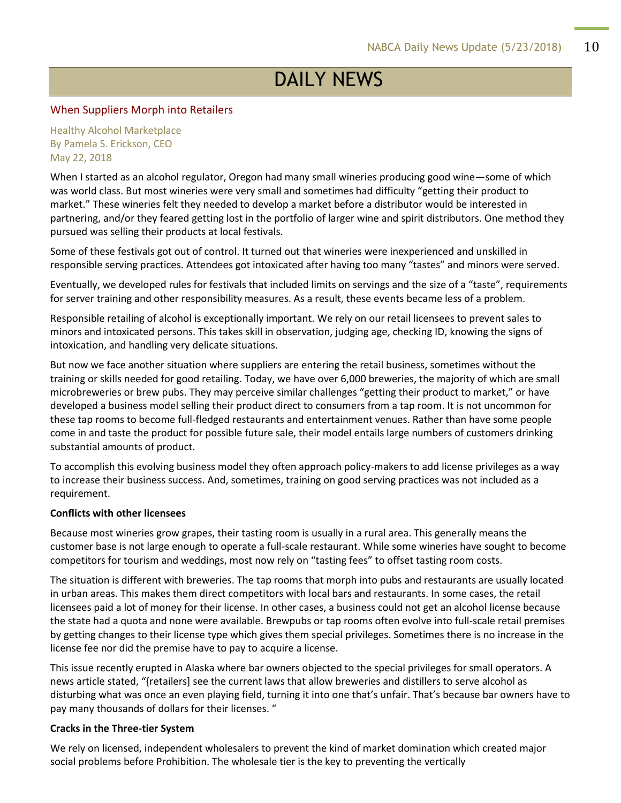# DAILY NEWS

#### When Suppliers Morph into Retailers

Healthy Alcohol Marketplace By Pamela S. Erickson, CEO May 22, 2018

When I started as an alcohol regulator, Oregon had many small wineries producing good wine—some of which was world class. But most wineries were very small and sometimes had difficulty "getting their product to market." These wineries felt they needed to develop a market before a distributor would be interested in partnering, and/or they feared getting lost in the portfolio of larger wine and spirit distributors. One method they pursued was selling their products at local festivals.

Some of these festivals got out of control. It turned out that wineries were inexperienced and unskilled in responsible serving practices. Attendees got intoxicated after having too many "tastes" and minors were served.

Eventually, we developed rules for festivals that included limits on servings and the size of a "taste", requirements for server training and other responsibility measures. As a result, these events became less of a problem.

Responsible retailing of alcohol is exceptionally important. We rely on our retail licensees to prevent sales to minors and intoxicated persons. This takes skill in observation, judging age, checking ID, knowing the signs of intoxication, and handling very delicate situations.

But now we face another situation where suppliers are entering the retail business, sometimes without the training or skills needed for good retailing. Today, we have over 6,000 breweries, the majority of which are small microbreweries or brew pubs. They may perceive similar challenges "getting their product to market," or have developed a business model selling their product direct to consumers from a tap room. It is not uncommon for these tap rooms to become full-fledged restaurants and entertainment venues. Rather than have some people come in and taste the product for possible future sale, their model entails large numbers of customers drinking substantial amounts of product.

To accomplish this evolving business model they often approach policy-makers to add license privileges as a way to increase their business success. And, sometimes, training on good serving practices was not included as a requirement.

#### **Conflicts with other licensees**

Because most wineries grow grapes, their tasting room is usually in a rural area. This generally means the customer base is not large enough to operate a full-scale restaurant. While some wineries have sought to become competitors for tourism and weddings, most now rely on "tasting fees" to offset tasting room costs.

The situation is different with breweries. The tap rooms that morph into pubs and restaurants are usually located in urban areas. This makes them direct competitors with local bars and restaurants. In some cases, the retail licensees paid a lot of money for their license. In other cases, a business could not get an alcohol license because the state had a quota and none were available. Brewpubs or tap rooms often evolve into full-scale retail premises by getting changes to their license type which gives them special privileges. Sometimes there is no increase in the license fee nor did the premise have to pay to acquire a license.

This issue recently erupted in Alaska where bar owners objected to the special privileges for small operators. A news article stated, "{retailers] see the current laws that allow breweries and distillers to serve alcohol as disturbing what was once an even playing field, turning it into one that's unfair. That's because bar owners have to pay many thousands of dollars for their licenses. "

#### **Cracks in the Three-tier System**

We rely on licensed, independent wholesalers to prevent the kind of market domination which created major social problems before Prohibition. The wholesale tier is the key to preventing the vertically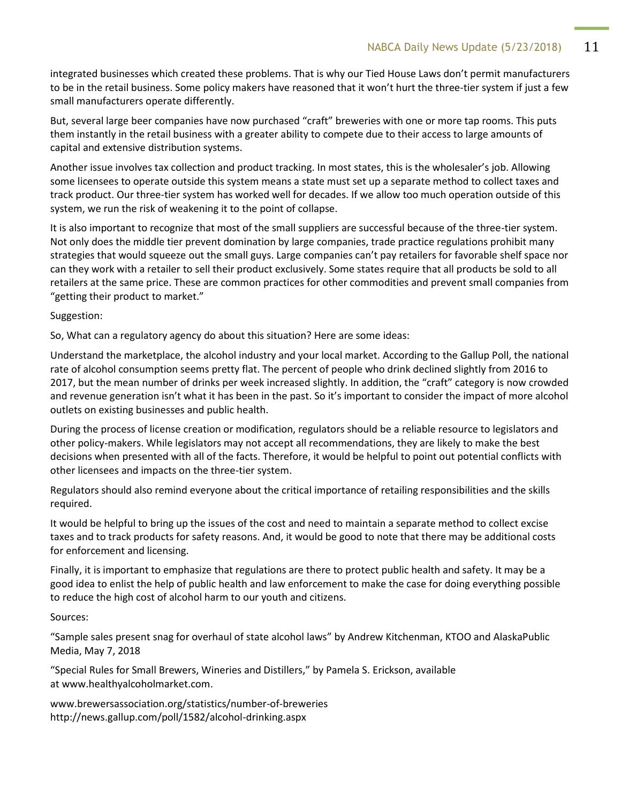integrated businesses which created these problems. That is why our Tied House Laws don't permit manufacturers to be in the retail business. Some policy makers have reasoned that it won't hurt the three-tier system if just a few small manufacturers operate differently.

But, several large beer companies have now purchased "craft" breweries with one or more tap rooms. This puts them instantly in the retail business with a greater ability to compete due to their access to large amounts of capital and extensive distribution systems.

Another issue involves tax collection and product tracking. In most states, this is the wholesaler's job. Allowing some licensees to operate outside this system means a state must set up a separate method to collect taxes and track product. Our three-tier system has worked well for decades. If we allow too much operation outside of this system, we run the risk of weakening it to the point of collapse.

It is also important to recognize that most of the small suppliers are successful because of the three-tier system. Not only does the middle tier prevent domination by large companies, trade practice regulations prohibit many strategies that would squeeze out the small guys. Large companies can't pay retailers for favorable shelf space nor can they work with a retailer to sell their product exclusively. Some states require that all products be sold to all retailers at the same price. These are common practices for other commodities and prevent small companies from "getting their product to market."

Suggestion:

So, What can a regulatory agency do about this situation? Here are some ideas:

Understand the marketplace, the alcohol industry and your local market. According to the Gallup Poll, the national rate of alcohol consumption seems pretty flat. The percent of people who drink declined slightly from 2016 to 2017, but the mean number of drinks per week increased slightly. In addition, the "craft" category is now crowded and revenue generation isn't what it has been in the past. So it's important to consider the impact of more alcohol outlets on existing businesses and public health.

During the process of license creation or modification, regulators should be a reliable resource to legislators and other policy-makers. While legislators may not accept all recommendations, they are likely to make the best decisions when presented with all of the facts. Therefore, it would be helpful to point out potential conflicts with other licensees and impacts on the three-tier system.

Regulators should also remind everyone about the critical importance of retailing responsibilities and the skills required.

It would be helpful to bring up the issues of the cost and need to maintain a separate method to collect excise taxes and to track products for safety reasons. And, it would be good to note that there may be additional costs for enforcement and licensing.

Finally, it is important to emphasize that regulations are there to protect public health and safety. It may be a good idea to enlist the help of public health and law enforcement to make the case for doing everything possible to reduce the high cost of alcohol harm to our youth and citizens.

#### Sources:

"Sample sales present snag for overhaul of state alcohol laws" by Andrew Kitchenman, KTOO and AlaskaPublic Media, May 7, 2018

"Special Rules for Small Brewers, Wineries and Distillers," by Pamela S. Erickson, available at www.healthyalcoholmarket.com.

www.brewersassociation.org/statistics/number-of-breweries http://news.gallup.com/poll/1582/alcohol-drinking.aspx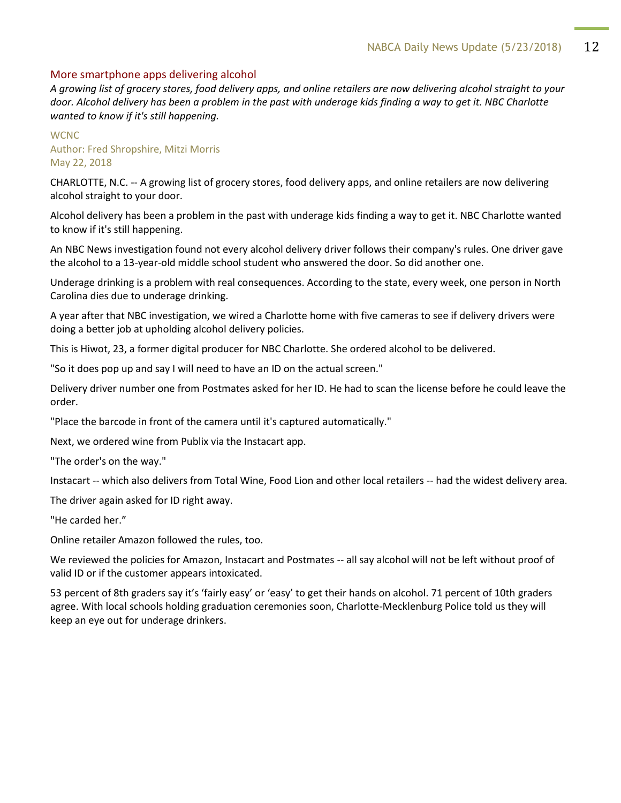#### More smartphone apps delivering alcohol

*A growing list of grocery stores, food delivery apps, and online retailers are now delivering alcohol straight to your door. Alcohol delivery has been a problem in the past with underage kids finding a way to get it. NBC Charlotte wanted to know if it's still happening.*

#### **WCNC** Author: Fred Shropshire, Mitzi Morris May 22, 2018

CHARLOTTE, N.C. -- A growing list of grocery stores, food delivery apps, and online retailers are now delivering alcohol straight to your door.

Alcohol delivery has been a problem in the past with underage kids finding a way to get it. NBC Charlotte wanted to know if it's still happening.

An NBC News investigation found not every alcohol delivery driver follows their company's rules. One driver gave the alcohol to a 13-year-old middle school student who answered the door. So did another one.

Underage drinking is a problem with real consequences. According to the state, every week, one person in North Carolina dies due to underage drinking.

A year after that NBC investigation, we wired a Charlotte home with five cameras to see if delivery drivers were doing a better job at upholding alcohol delivery policies.

This is Hiwot, 23, a former digital producer for NBC Charlotte. She ordered alcohol to be delivered.

"So it does pop up and say I will need to have an ID on the actual screen."

Delivery driver number one from Postmates asked for her ID. He had to scan the license before he could leave the order.

"Place the barcode in front of the camera until it's captured automatically."

Next, we ordered wine from Publix via the Instacart app.

"The order's on the way."

Instacart -- which also delivers from Total Wine, Food Lion and other local retailers -- had the widest delivery area.

The driver again asked for ID right away.

"He carded her."

Online retailer Amazon followed the rules, too.

We reviewed the policies for Amazon, Instacart and Postmates -- all say alcohol will not be left without proof of valid ID or if the customer appears intoxicated.

53 percent of 8th graders say it's 'fairly easy' or 'easy' to get their hands on alcohol. 71 percent of 10th graders agree. With local schools holding graduation ceremonies soon, Charlotte-Mecklenburg Police told us they will keep an eye out for underage drinkers.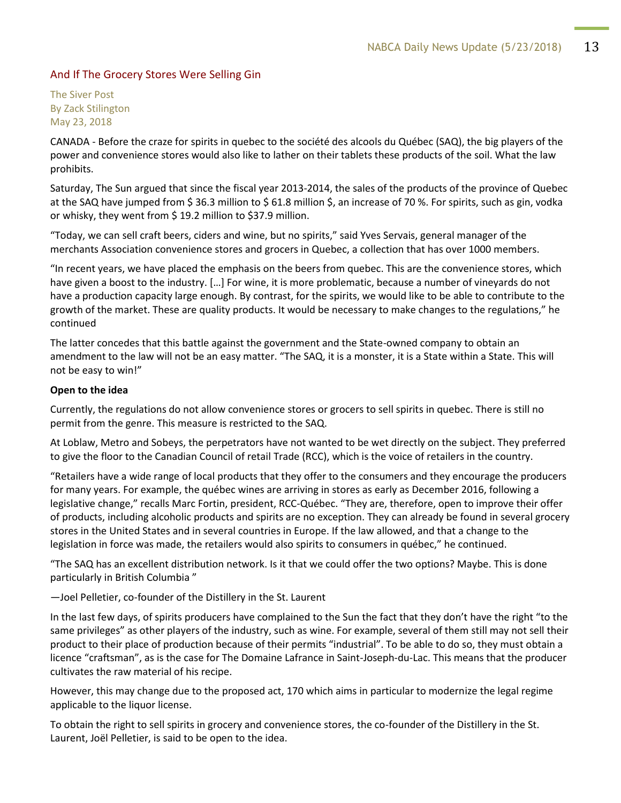#### And If The Grocery Stores Were Selling Gin

The Siver Post By Zack Stilington May 23, 2018

CANADA - Before the craze for spirits in quebec to the société des alcools du Québec (SAQ), the big players of the power and convenience stores would also like to lather on their tablets these products of the soil. What the law prohibits.

Saturday, The Sun argued that since the fiscal year 2013-2014, the sales of the products of the province of Quebec at the SAQ have jumped from \$36.3 million to \$61.8 million \$, an increase of 70 %. For spirits, such as gin, vodka or whisky, they went from \$ 19.2 million to \$37.9 million.

"Today, we can sell craft beers, ciders and wine, but no spirits," said Yves Servais, general manager of the merchants Association convenience stores and grocers in Quebec, a collection that has over 1000 members.

"In recent years, we have placed the emphasis on the beers from quebec. This are the convenience stores, which have given a boost to the industry. […] For wine, it is more problematic, because a number of vineyards do not have a production capacity large enough. By contrast, for the spirits, we would like to be able to contribute to the growth of the market. These are quality products. It would be necessary to make changes to the regulations," he continued

The latter concedes that this battle against the government and the State-owned company to obtain an amendment to the law will not be an easy matter. "The SAQ, it is a monster, it is a State within a State. This will not be easy to win!"

#### **Open to the idea**

Currently, the regulations do not allow convenience stores or grocers to sell spirits in quebec. There is still no permit from the genre. This measure is restricted to the SAQ.

At Loblaw, Metro and Sobeys, the perpetrators have not wanted to be wet directly on the subject. They preferred to give the floor to the Canadian Council of retail Trade (RCC), which is the voice of retailers in the country.

"Retailers have a wide range of local products that they offer to the consumers and they encourage the producers for many years. For example, the québec wines are arriving in stores as early as December 2016, following a legislative change," recalls Marc Fortin, president, RCC-Québec. "They are, therefore, open to improve their offer of products, including alcoholic products and spirits are no exception. They can already be found in several grocery stores in the United States and in several countries in Europe. If the law allowed, and that a change to the legislation in force was made, the retailers would also spirits to consumers in québec," he continued.

"The SAQ has an excellent distribution network. Is it that we could offer the two options? Maybe. This is done particularly in British Columbia "

—Joel Pelletier, co-founder of the Distillery in the St. Laurent

In the last few days, of spirits producers have complained to the Sun the fact that they don't have the right "to the same privileges" as other players of the industry, such as wine. For example, several of them still may not sell their product to their place of production because of their permits "industrial". To be able to do so, they must obtain a licence "craftsman", as is the case for The Domaine Lafrance in Saint-Joseph-du-Lac. This means that the producer cultivates the raw material of his recipe.

However, this may change due to the proposed act, 170 which aims in particular to modernize the legal regime applicable to the liquor license.

To obtain the right to sell spirits in grocery and convenience stores, the co-founder of the Distillery in the St. Laurent, Joël Pelletier, is said to be open to the idea.